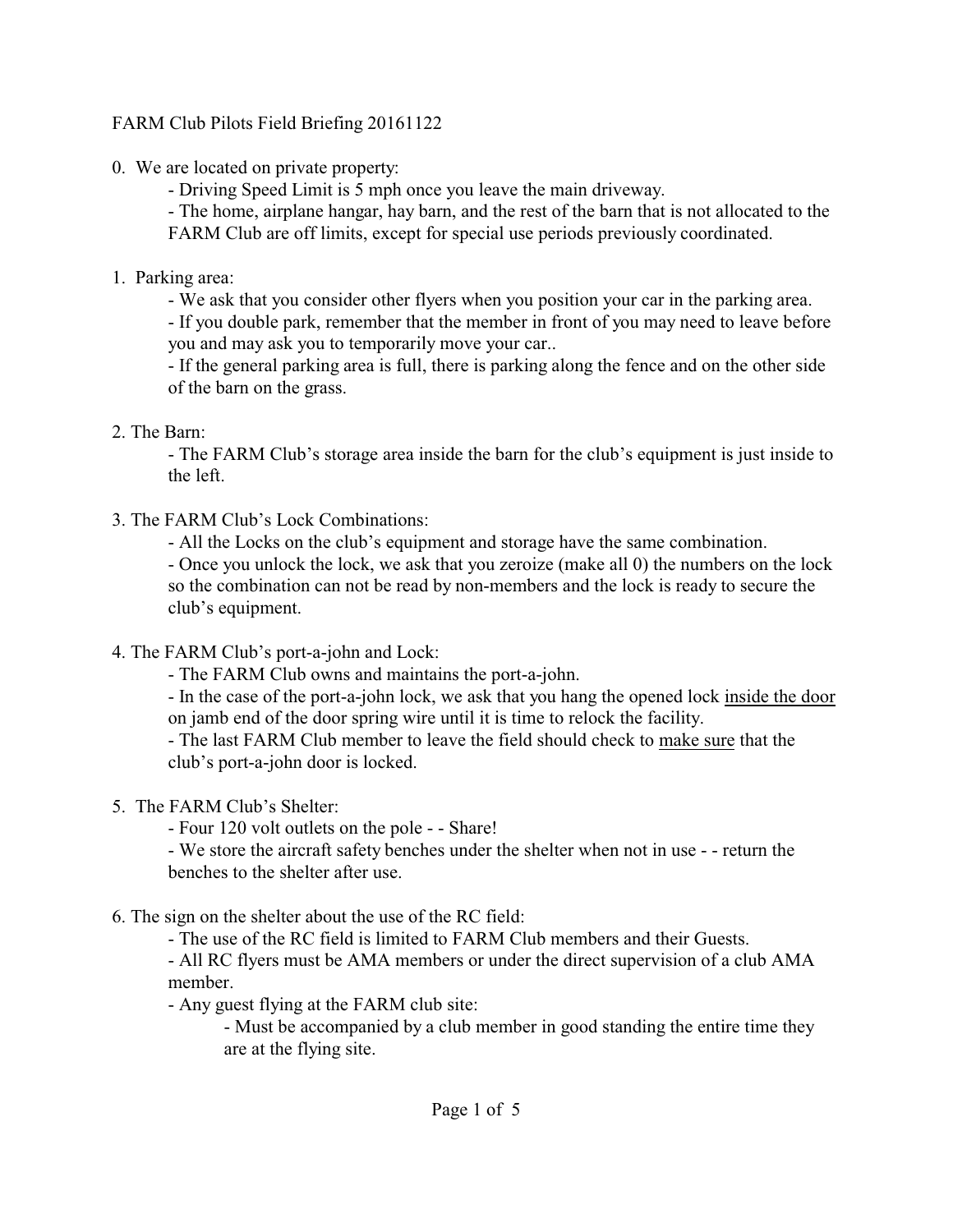## FARM Club Pilots Field Briefing 20161122

- 0. We are located on private property:
	- Driving Speed Limit is 5 mph once you leave the main driveway.
	- The home, airplane hangar, hay barn, and the rest of the barn that is not allocated to the FARM Club are off limits, except for special use periods previously coordinated.
- 1. Parking area:
	- We ask that you consider other flyers when you position your car in the parking area.

- If you double park, remember that the member in front of you may need to leave before you and may ask you to temporarily move your car..

- If the general parking area is full, there is parking along the fence and on the other side of the barn on the grass.

2. The Barn:

- The FARM Club's storage area inside the barn for the club's equipment is just inside to the left.

- 3. The FARM Club's Lock Combinations:
	- All the Locks on the club's equipment and storage have the same combination.

- Once you unlock the lock, we ask that you zeroize (make all 0) the numbers on the lock so the combination can not be read by non-members and the lock is ready to secure the club's equipment.

- 4. The FARM Club's port-a-john and Lock:
	- The FARM Club owns and maintains the port-a-john.

- In the case of the port-a-john lock, we ask that you hang the opened lock inside the door on jamb end of the door spring wire until it is time to relock the facility.

- The last FARM Club member to leave the field should check to make sure that the club's port-a-john door is locked.

# 5. The FARM Club's Shelter:

- Four 120 volt outlets on the pole - - Share!

- We store the aircraft safety benches under the shelter when not in use - - return the benches to the shelter after use.

# 6. The sign on the shelter about the use of the RC field:

- The use of the RC field is limited to FARM Club members and their Guests.

- All RC flyers must be AMA members or under the direct supervision of a club AMA member.

- Any guest flying at the FARM club site:

- Must be accompanied by a club member in good standing the entire time they are at the flying site.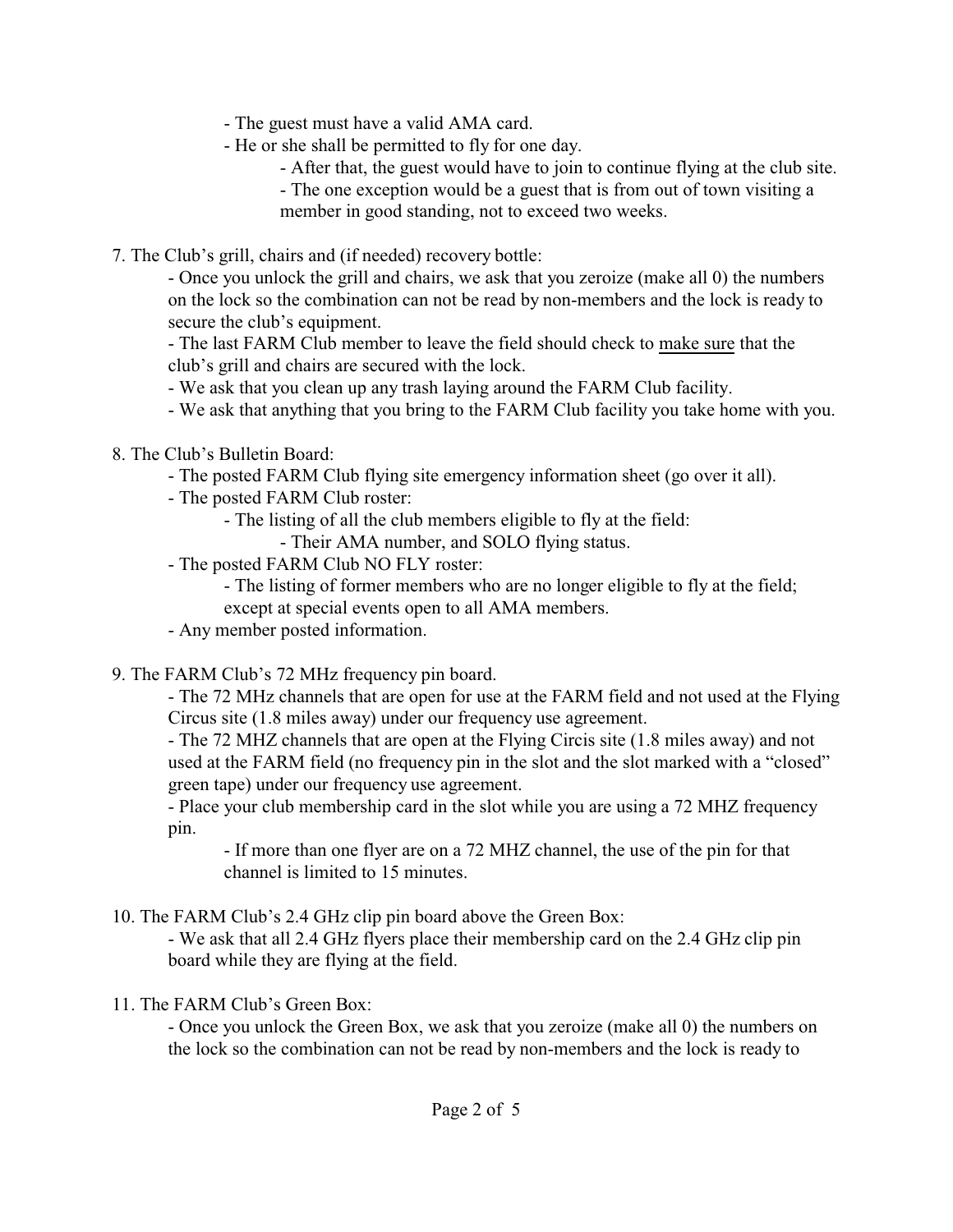- The guest must have a valid AMA card.
- He or she shall be permitted to fly for one day.
	- After that, the guest would have to join to continue flying at the club site.
	- The one exception would be a guest that is from out of town visiting a member in good standing, not to exceed two weeks.
- 7. The Club's grill, chairs and (if needed) recovery bottle:

- Once you unlock the grill and chairs, we ask that you zeroize (make all 0) the numbers on the lock so the combination can not be read by non-members and the lock is ready to secure the club's equipment.

- The last FARM Club member to leave the field should check to make sure that the club's grill and chairs are secured with the lock.

- We ask that you clean up any trash laying around the FARM Club facility.
- We ask that anything that you bring to the FARM Club facility you take home with you.
- 8. The Club's Bulletin Board:
	- The posted FARM Club flying site emergency information sheet (go over it all).
	- The posted FARM Club roster:
		- The listing of all the club members eligible to fly at the field:
			- Their AMA number, and SOLO flying status.
	- The posted FARM Club NO FLY roster:

- The listing of former members who are no longer eligible to fly at the field; except at special events open to all AMA members.

- Any member posted information.

9. The FARM Club's 72 MHz frequency pin board.

- The 72 MHz channels that are open for use at the FARM field and not used at the Flying Circus site (1.8 miles away) under our frequency use agreement.

- The 72 MHZ channels that are open at the Flying Circis site (1.8 miles away) and not used at the FARM field (no frequency pin in the slot and the slot marked with a "closed" green tape) under our frequency use agreement.

- Place your club membership card in the slot while you are using a 72 MHZ frequency pin.

- If more than one flyer are on a 72 MHZ channel, the use of the pin for that channel is limited to 15 minutes.

10. The FARM Club's 2.4 GHz clip pin board above the Green Box:

- We ask that all 2.4 GHz flyers place their membership card on the 2.4 GHz clip pin board while they are flying at the field.

11. The FARM Club's Green Box:

- Once you unlock the Green Box, we ask that you zeroize (make all 0) the numbers on the lock so the combination can not be read by non-members and the lock is ready to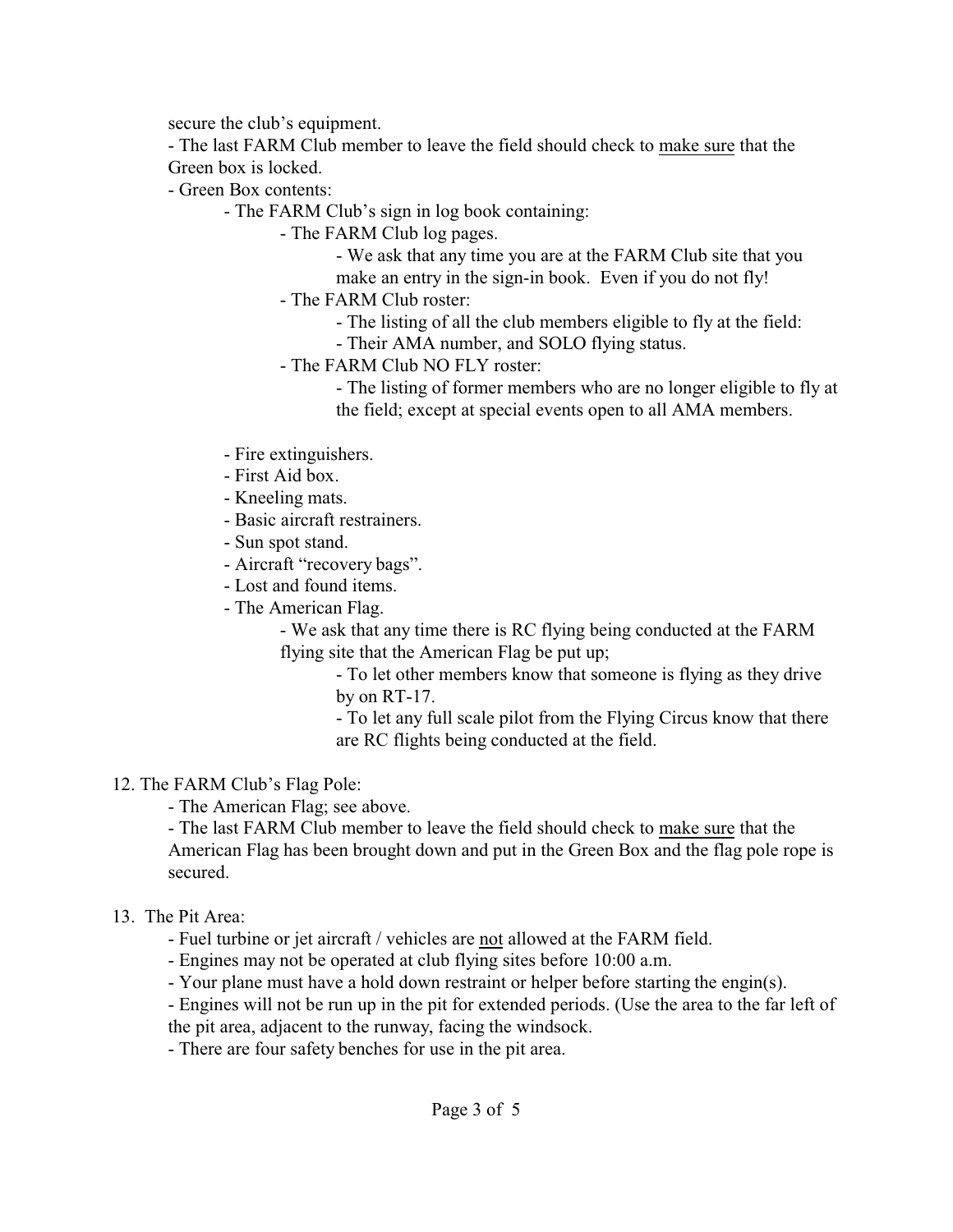secure the club's equipment.

- The last FARM Club member to leave the field should check to make sure that the Green box is locked.

- Green Box contents:

- The FARM Club's sign in log book containing:

- The FARM Club log pages.

- We ask that any time you are at the FARM Club site that you

make an entry in the sign-in book. Even if you do not fly!

- The FARM Club roster:

- The listing of all the club members eligible to fly at the field:

- Their AMA number, and SOLO flying status.

- The FARM Club NO FLY roster:

- The listing of former members who are no longer eligible to fly at the field; except at special events open to all AMA members.

- Fire extinguishers.
- First Aid box.

- Kneeling mats.

- Basic aircraft restrainers.

- Sun spot stand.

- Aircraft "recovery bags".

- Lost and found items.

- The American Flag.

- We ask that any time there is RC flying being conducted at the FARM flying site that the American Flag be put up;

- To let other members know that someone is flying as they drive by on RT-17.

- To let any full scale pilot from the Flying Circus know that there are RC flights being conducted at the field.

### 12. The FARM Club's Flag Pole:

- The American Flag; see above.

- The last FARM Club member to leave the field should check to make sure that the American Flag has been brought down and put in the Green Box and the flag pole rope is secured.

### 13. The Pit Area:

- Fuel turbine or jet aircraft / vehicles are not allowed at the FARM field.

- Engines may not be operated at club flying sites before 10:00 a.m.

- Your plane must have a hold down restraint or helper before starting the engin(s).

- Engines will not be run up in the pit for extended periods. (Use the area to the far left of

the pit area, adjacent to the runway, facing the windsock.

- There are four safety benches for use in the pit area.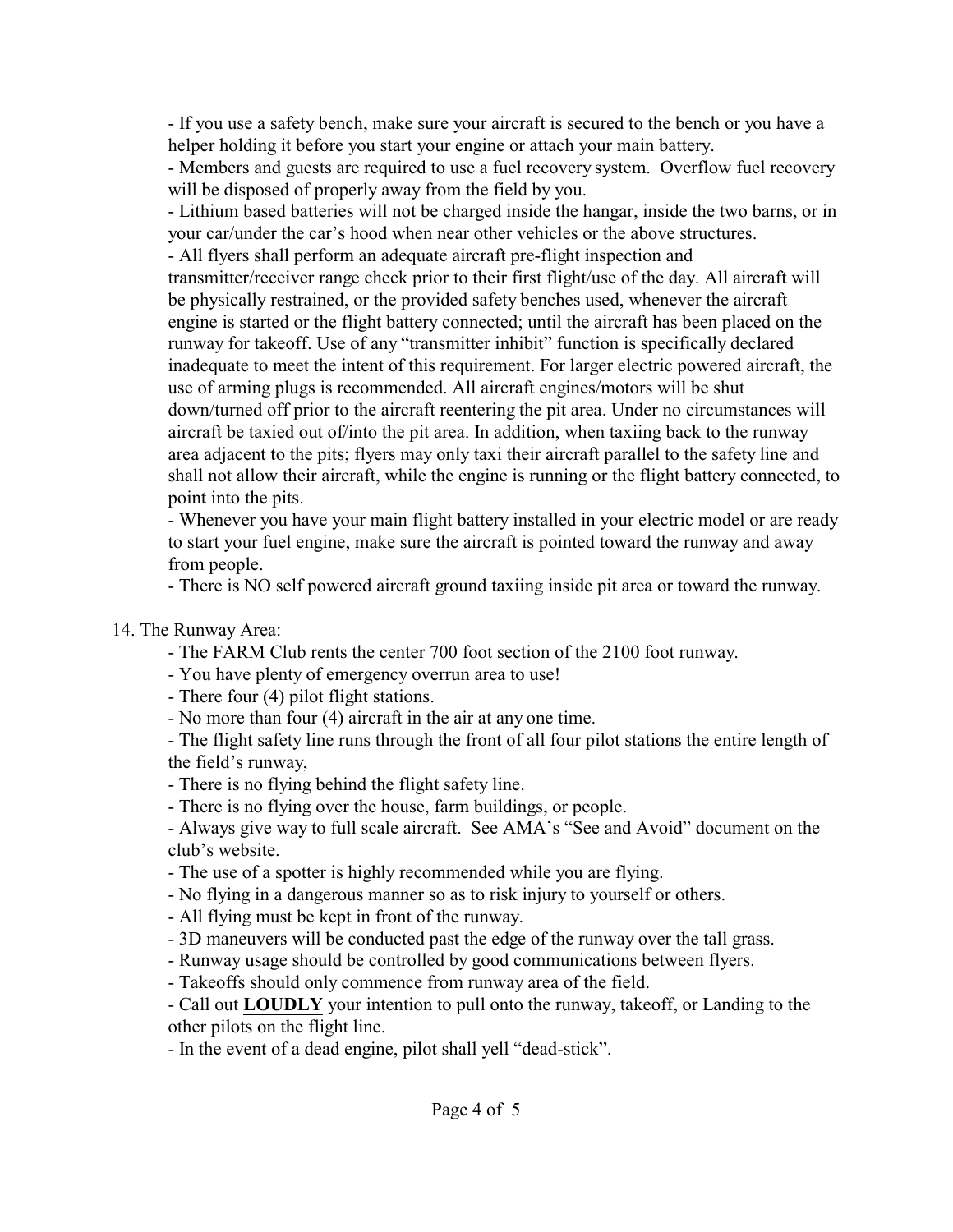- If you use a safety bench, make sure your aircraft is secured to the bench or you have a helper holding it before you start your engine or attach your main battery.

- Members and guests are required to use a fuel recovery system. Overflow fuel recovery will be disposed of properly away from the field by you.

- Lithium based batteries will not be charged inside the hangar, inside the two barns, or in your car/under the car's hood when near other vehicles or the above structures.

- All flyers shall perform an adequate aircraft pre-flight inspection and

transmitter/receiver range check prior to their first flight/use of the day. All aircraft will be physically restrained, or the provided safety benches used, whenever the aircraft engine is started or the flight battery connected; until the aircraft has been placed on the runway for takeoff. Use of any "transmitter inhibit" function is specifically declared inadequate to meet the intent of this requirement. For larger electric powered aircraft, the use of arming plugs is recommended. All aircraft engines/motors will be shut down/turned off prior to the aircraft reentering the pit area. Under no circumstances will aircraft be taxied out of/into the pit area. In addition, when taxiing back to the runway area adjacent to the pits; flyers may only taxi their aircraft parallel to the safety line and shall not allow their aircraft, while the engine is running or the flight battery connected, to point into the pits.

- Whenever you have your main flight battery installed in your electric model or are ready to start your fuel engine, make sure the aircraft is pointed toward the runway and away from people.

- There is NO self powered aircraft ground taxiing inside pit area or toward the runway.

# 14. The Runway Area:

- The FARM Club rents the center 700 foot section of the 2100 foot runway.
- You have plenty of emergency overrun area to use!
- There four (4) pilot flight stations.
- No more than four (4) aircraft in the air at any one time.

- The flight safety line runs through the front of all four pilot stations the entire length of the field's runway,

- There is no flying behind the flight safety line.
- There is no flying over the house, farm buildings, or people.
- Always give way to full scale aircraft. See AMA's "See and Avoid" document on the club's website.
- The use of a spotter is highly recommended while you are flying.
- No flying in a dangerous manner so as to risk injury to yourself or others.
- All flying must be kept in front of the runway.
- 3D maneuvers will be conducted past the edge of the runway over the tall grass.
- Runway usage should be controlled by good communications between flyers.
- Takeoffs should only commence from runway area of the field.

- Call out **LOUDLY** your intention to pull onto the runway, takeoff, or Landing to the other pilots on the flight line.

- In the event of a dead engine, pilot shall yell "dead-stick".